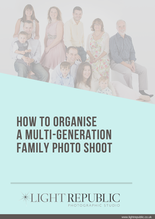

# How to organise a multi-generation FAMILY PHOTO SHOOT

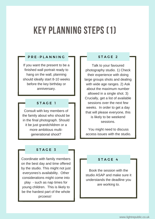## Key planning steps (1)

### P R E - PLANNING THE FIRE STAGE 2

If you want the present to be a finished wall portrait ready to hang on the wall, planning should ideally start 8-10 weeks before the key birthday or anniversary.

### STAGE 1

Consult with key members of the family about who should be in the final photograph. Should it be just grandchildren or a more ambitious multigenerational shoot?

Talk to your favoured photography studio. 1) Check their experience with doing large groups shots and dealing with wide age ranges. 2) Ask about the maximum number allowed in a single shot. 3) Crucially, get a list of available sessions over the next few weeks. In order to get a day that will please everyone, this is likely to be weekend sessions.

You might need to discuss access issues with the studio.

### $STAGE$  3

Coordinate with family members on the best day and time offered by the studio. This might not just everyones's availability. Other considerations might come into play - such as nap times for young children. This is likely to be the hardest part of the whole prcoess!

### STAGE 4

Book the session with the studio ASAP and make sure it understands the deadline you are working to.